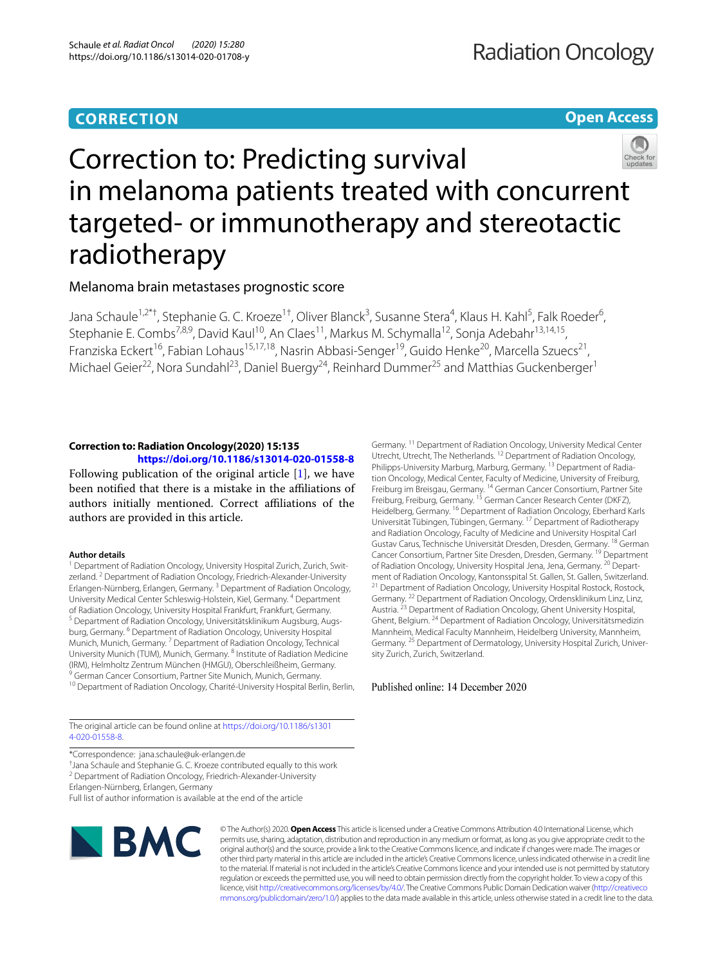# **CORRECTION**

**Open Access**



# Correction to: Predicting survival in melanoma patients treated with concurrent targeted- or immunotherapy and stereotactic radiotherapy

Melanoma brain metastases prognostic score

Jana Schaule<sup>1,2\*†</sup>, Stephanie G. C. Kroeze<sup>1†</sup>, Oliver Blanck<sup>3</sup>, Susanne Stera<sup>4</sup>, Klaus H. Kahl<sup>5</sup>, Falk Roeder<sup>6</sup>, Stephanie E. Combs<sup>7,8,9</sup>, David Kaul<sup>10</sup>, An Claes<sup>11</sup>, Markus M. Schymalla<sup>12</sup>, Sonja Adebahr<sup>13,14,15</sup>, Franziska Eckert<sup>16</sup>, Fabian Lohaus<sup>15,17,18</sup>, Nasrin Abbasi-Senger<sup>19</sup>, Guido Henke<sup>20</sup>, Marcella Szuecs<sup>21</sup>, Michael Geier<sup>22</sup>, Nora Sundahl<sup>23</sup>, Daniel Buergy<sup>24</sup>, Reinhard Dummer<sup>25</sup> and Matthias Guckenberger<sup>1</sup>

# **Correction to: Radiation Oncology(2020) 15:135 <https://doi.org/10.1186/s13014-020-01558-8>**

Following publication of the original article [[1\]](#page-1-0), we have been notified that there is a mistake in the affiliations of authors initially mentioned. Correct afliations of the authors are provided in this article.

# **Author details**

<sup>1</sup> Department of Radiation Oncology, University Hospital Zurich, Zurich, Switzerland.<sup>2</sup> Department of Radiation Oncology, Friedrich-Alexander-University Erlangen-Nürnberg, Erlangen, Germany. 3 Department of Radiation Oncology, University Medical Center Schleswig-Holstein, Kiel, Germany. 4 Department of Radiation Oncology, University Hospital Frankfurt, Frankfurt, Germany.<br><sup>5</sup> Department of Radiation Oncology, Universitätsklinikum Augsburg, Augsburg, Germany. <sup>6</sup> Department of Radiation Oncology, University Hospital Munich, Munich, Germany. 7 Department of Radiation Oncology, Technical University Munich (TUM), Munich, Germany. 8 Institute of Radiation Medicine (IRM), Helmholtz Zentrum München (HMGU), Oberschleißheim, Germany. <sup>9</sup> German Cancer Consortium, Partner Site Munich, Munich, Germany.

<sup>10</sup> Department of Radiation Oncology, Charité-University Hospital Berlin, Berlin,

The original article can be found online at [https://doi.org/10.1186/s1301](https://doi.org/10.1186/s13014-020-01558-8) [4-020-01558-8.](https://doi.org/10.1186/s13014-020-01558-8)

\*Correspondence: jana.schaule@uk‑erlangen.de

† Jana Schaule and Stephanie G. C. Kroeze contributed equally to this work

<sup>2</sup> Department of Radiation Oncology, Friedrich-Alexander-University

Erlangen-Nürnberg, Erlangen, Germany

Full list of author information is available at the end of the article



© The Author(s) 2020. **Open Access** This article is licensed under a Creative Commons Attribution 4.0 International License, which permits use, sharing, adaptation, distribution and reproduction in any medium or format, as long as you give appropriate credit to the original author(s) and the source, provide a link to the Creative Commons licence, and indicate if changes were made. The images or other third party material in this article are included in the article's Creative Commons licence, unless indicated otherwise in a credit line to the material. If material is not included in the article's Creative Commons licence and your intended use is not permitted by statutory regulation or exceeds the permitted use, you will need to obtain permission directly from the copyright holder. To view a copy of this licence, visit [http://creativecommons.org/licenses/by/4.0/.](http://creativecommons.org/licenses/by/4.0/) The Creative Commons Public Domain Dedication waiver ([http://creativeco](http://creativecommons.org/publicdomain/zero/1.0/) [mmons.org/publicdomain/zero/1.0/](http://creativecommons.org/publicdomain/zero/1.0/)) applies to the data made available in this article, unless otherwise stated in a credit line to the data.

Germany. 11 Department of Radiation Oncology, University Medical Center Utrecht, Utrecht, The Netherlands. 12 Department of Radiation Oncology, Philipps-University Marburg, Marburg, Germany. <sup>13</sup> Department of Radiation Oncology, Medical Center, Faculty of Medicine, University of Freiburg, Freiburg im Breisgau, Germany. <sup>14</sup> German Cancer Consortium, Partner Site Freiburg, Freiburg, Germany. 15 German Cancer Research Center (DKFZ), Heidelberg, Germany. 16 Department of Radiation Oncology, Eberhard Karls Universität Tübingen, Tübingen, Germany. 17 Department of Radiotherapy and Radiation Oncology, Faculty of Medicine and University Hospital Carl Gustav Carus, Technische Universität Dresden, Dresden, Germany. 18 German Cancer Consortium, Partner Site Dresden, Dresden, Germany. <sup>19</sup> Department of Radiation Oncology, University Hospital Jena, Jena, Germany. <sup>20</sup> Department of Radiation Oncology, Kantonsspital St. Gallen, St. Gallen, Switzerland.<br><sup>21</sup> Department of Radiation Oncology, University Hospital Rostock, Rostock, Germany. 22 Department of Radiation Oncology, Ordensklinikum Linz, Linz, Austria. 23 Department of Radiation Oncology, Ghent University Hospital, Ghent, Belgium. 24 Department of Radiation Oncology, Universitätsmedizin Mannheim, Medical Faculty Mannheim, Heidelberg University, Mannheim, Germany. <sup>25</sup> Department of Dermatology, University Hospital Zurich, University Zurich, Zurich, Switzerland.

Published online: 14 December 2020